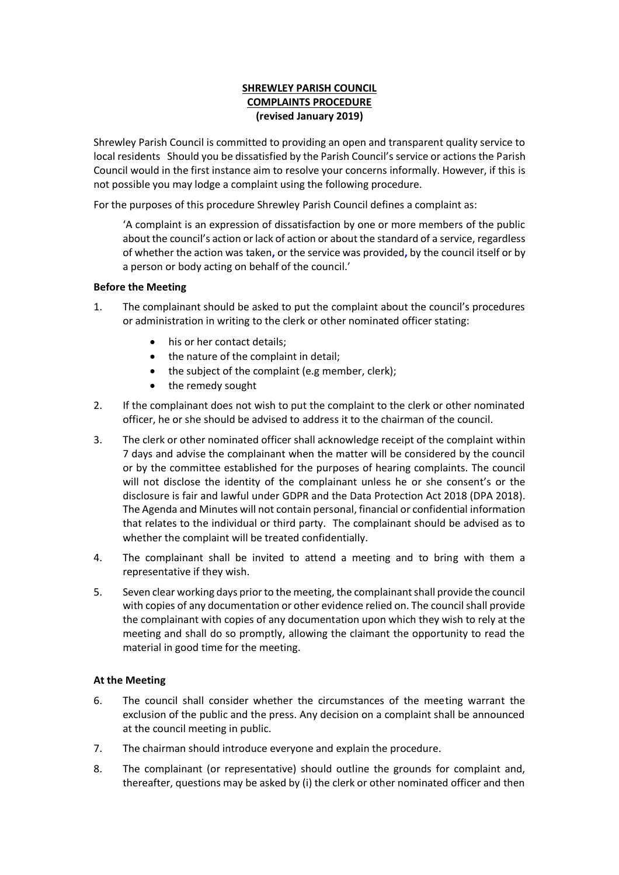### **SHREWLEY PARISH COUNCIL COMPLAINTS PROCEDURE (revised January 2019)**

Shrewley Parish Council is committed to providing an open and transparent quality service to local residents Should you be dissatisfied by the Parish Council's service or actions the Parish Council would in the first instance aim to resolve your concerns informally. However, if this is not possible you may lodge a complaint using the following procedure.

For the purposes of this procedure Shrewley Parish Council defines a complaint as:

'A complaint is an expression of dissatisfaction by one or more members of the public about the council's action or lack of action or about the standard of a service, regardless of whether the action was taken**,** or the service was provided**,** by the council itself or by a person or body acting on behalf of the council.'

### **Before the Meeting**

- 1. The complainant should be asked to put the complaint about the council's procedures or administration in writing to the clerk or other nominated officer stating:
	- his or her contact details:
	- the nature of the complaint in detail;
	- the subject of the complaint (e.g member, clerk);
	- the remedy sought
- 2. If the complainant does not wish to put the complaint to the clerk or other nominated officer, he or she should be advised to address it to the chairman of the council.
- 3. The clerk or other nominated officer shall acknowledge receipt of the complaint within 7 days and advise the complainant when the matter will be considered by the council or by the committee established for the purposes of hearing complaints. The council will not disclose the identity of the complainant unless he or she consent's or the disclosure is fair and lawful under GDPR and the Data Protection Act 2018 (DPA 2018). The Agenda and Minutes will not contain personal, financial or confidential information that relates to the individual or third party. The complainant should be advised as to whether the complaint will be treated confidentially.
- 4. The complainant shall be invited to attend a meeting and to bring with them a representative if they wish.
- 5. Seven clear working days prior to the meeting, the complainant shall provide the council with copies of any documentation or other evidence relied on. The council shall provide the complainant with copies of any documentation upon which they wish to rely at the meeting and shall do so promptly, allowing the claimant the opportunity to read the material in good time for the meeting.

#### **At the Meeting**

- 6. The council shall consider whether the circumstances of the meeting warrant the exclusion of the public and the press. Any decision on a complaint shall be announced at the council meeting in public.
- 7. The chairman should introduce everyone and explain the procedure.
- 8. The complainant (or representative) should outline the grounds for complaint and, thereafter, questions may be asked by (i) the clerk or other nominated officer and then